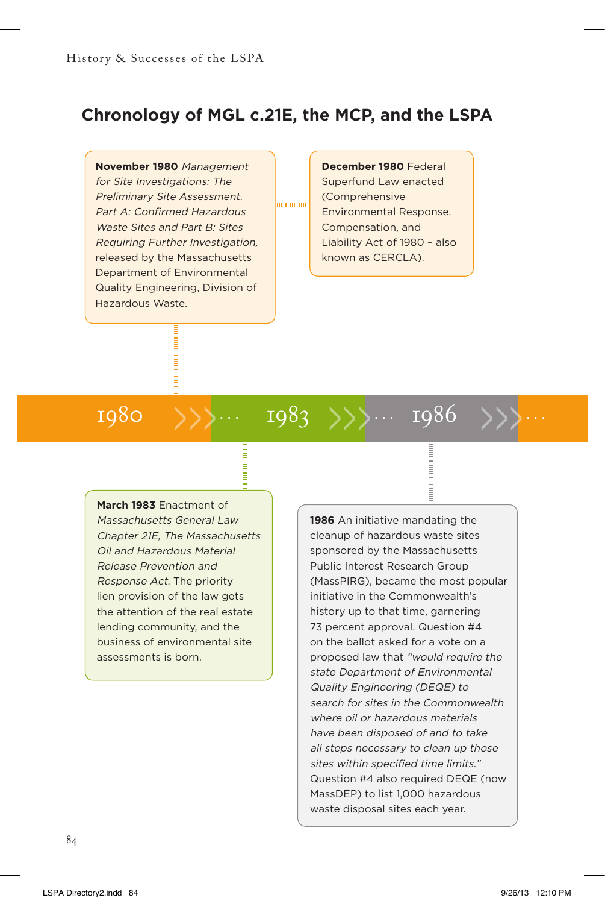## **Chronology of MGL c.21E, the MCP, and the LSPA**

...............

**November 1980** Management for Site Investigations: The Preliminary Site Assessment. Part A: Confirmed Hazardous Waste Sites and Part B: Sites Requiring Further Investigation, released by the Massachusetts Department of Environmental Quality Engineering, Division of Hazardous Waste.

**December 1980** Federal Superfund Law enacted (Comprehensive Environmental Response, Compensation, and Liability Act of 1980 – also known as CERCLA).

 $1980$   $\{\}\$ ...  $1983$   $\{\}\$ ...  $1986$ 

**March 1983** Enactment of

Massachusetts General Law Chapter 21E, The Massachusetts Oil and Hazardous Material Release Prevention and Response Act. The priority lien provision of the law gets the attention of the real estate lending community, and the business of environmental site assessments is born.

**1986** An initiative mandating the cleanup of hazardous waste sites sponsored by the Massachusetts Public Interest Research Group (MassPIRG), became the most popular initiative in the Commonwealth's history up to that time, garnering 73 percent approval. Question #4 on the ballot asked for a vote on a proposed law that "would require the state Department of Environmental Quality Engineering (DEQE) to search for sites in the Commonwealth where oil or hazardous materials have been disposed of and to take all steps necessary to clean up those sites within specified time limits." Question #4 also required DEQE (now MassDEP) to list 1,000 hazardous waste disposal sites each year.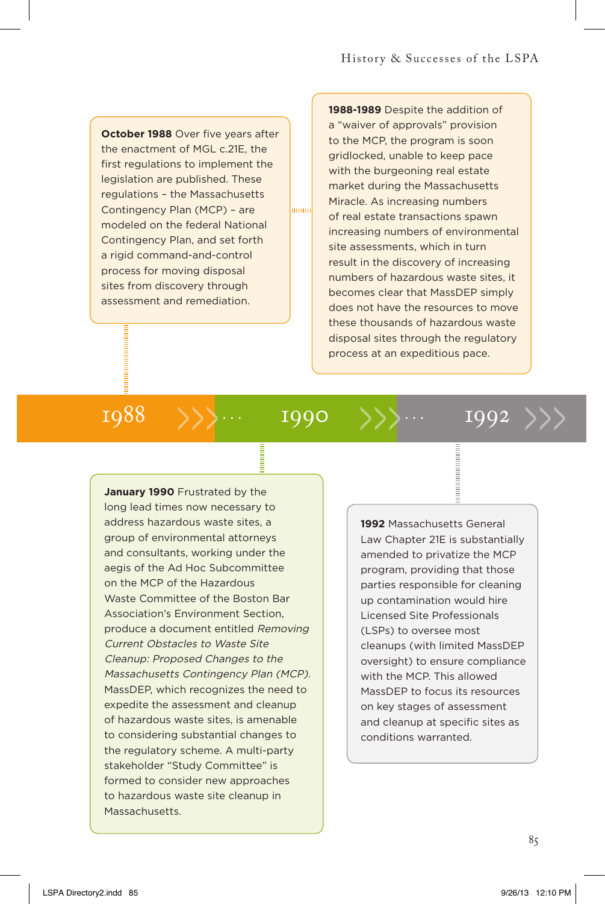**October 1988** Over five years after the enactment of MGL c.21E, the first regulations to implement the legislation are published. These regulations – the Massachusetts Contingency Plan (MCP) – are modeled on the federal National Contingency Plan, and set forth a rigid command-and-control process for moving disposal sites from discovery through assessment and remediation.

**1988-1989** Despite the addition of a "waiver of approvals" provision to the MCP, the program is soon gridlocked, unable to keep pace with the burgeoning real estate market during the Massachusetts Miracle. As increasing numbers of real estate transactions spawn increasing numbers of environmental site assessments, which in turn result in the discovery of increasing numbers of hazardous waste sites, it becomes clear that MassDEP simply does not have the resources to move these thousands of hazardous waste disposal sites through the regulatory process at an expeditious pace.

# 1988  $\rightarrow$ >>... 1990 >>>... 1992 >>>

mmm

**January 1990** Frustrated by the long lead times now necessary to address hazardous waste sites, a group of environmental attorneys and consultants, working under the aegis of the Ad Hoc Subcommittee on the MCP of the Hazardous Waste Committee of the Boston Bar Association's Environment Section, produce a document entitled Removing Current Obstacles to Waste Site Cleanup: Proposed Changes to the Massachusetts Contingency Plan (MCP). MassDEP, which recognizes the need to expedite the assessment and cleanup of hazardous waste sites, is amenable to considering substantial changes to the regulatory scheme. A multi-party stakeholder "Study Committee" is formed to consider new approaches to hazardous waste site cleanup in Massachusetts.

**1992** Massachusetts General Law Chapter 21E is substantially amended to privatize the MCP program, providing that those parties responsible for cleaning up contamination would hire Licensed Site Professionals (LSPs) to oversee most cleanups (with limited MassDEP oversight) to ensure compliance with the MCP. This allowed MassDEP to focus its resources on key stages of assessment and cleanup at specific sites as conditions warranted.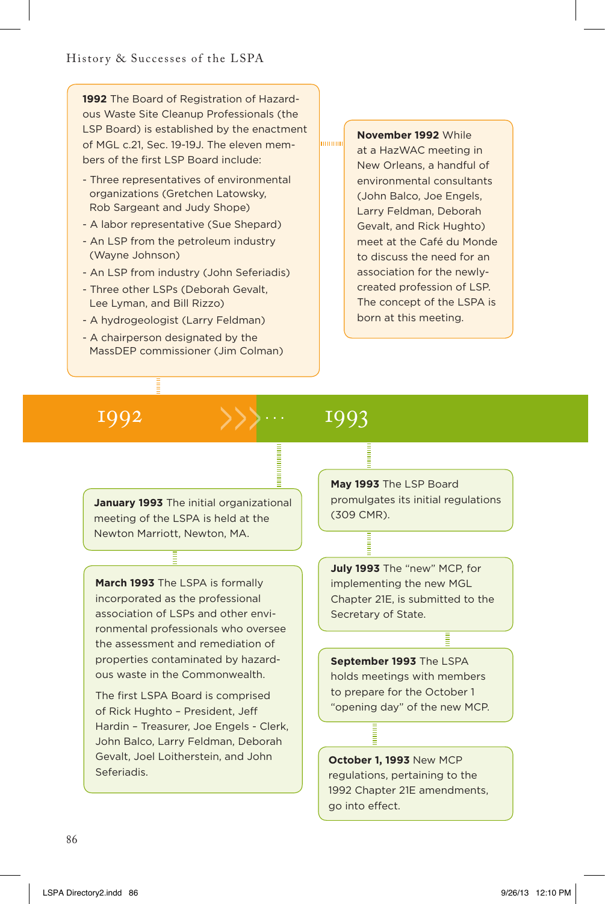**1992** The Board of Registration of Hazardous Waste Site Cleanup Professionals (the LSP Board) is established by the enactment of MGL c.21, Sec. 19-19J. The eleven members of the first LSP Board include:

- Three representatives of environmental organizations (Gretchen Latowsky, Rob Sargeant and Judy Shope)
- A labor representative (Sue Shepard)
- An LSP from the petroleum industry (Wayne Johnson)
- An LSP from industry (John Seferiadis)
- Three other LSPs (Deborah Gevalt, Lee Lyman, and Bill Rizzo)
- A hydrogeologist (Larry Feldman)
- A chairperson designated by the MassDEP commissioner (Jim Colman)

## **November 1992** While

at a HazWAC meeting in New Orleans, a handful of environmental consultants (John Balco, Joe Engels, Larry Feldman, Deborah Gevalt, and Rick Hughto) meet at the Café du Monde to discuss the need for an association for the newlycreated profession of LSP. The concept of the LSPA is born at this meeting.

# 1992 1993

mmun

**January 1993** The initial organizational meeting of the LSPA is held at the Newton Marriott, Newton, MA.

**March 1993** The LSPA is formally incorporated as the professional association of LSPs and other environmental professionals who oversee the assessment and remediation of properties contaminated by hazardous waste in the Commonwealth.

The first LSPA Board is comprised of Rick Hughto – President, Jeff Hardin – Treasurer, Joe Engels - Clerk, John Balco, Larry Feldman, Deborah Gevalt, Joel Loitherstein, and John Seferiadis.

**May 1993** The LSP Board promulgates its initial regulations (309 CMR).

**July 1993** The "new" MCP, for implementing the new MGL Chapter 21E, is submitted to the Secretary of State.

**September 1993** The LSPA holds meetings with members to prepare for the October 1 "opening day" of the new MCP.

**October 1, 1993** New MCP regulations, pertaining to the 1992 Chapter 21E amendments, go into effect.